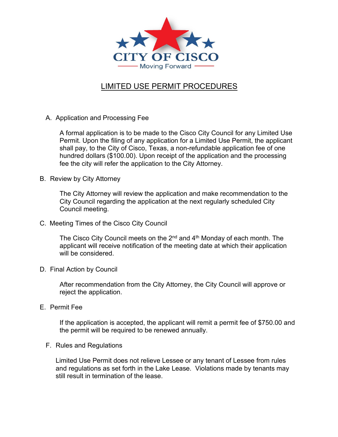

## LIMITED USE PERMIT PROCEDURES

A. Application and Processing Fee

A formal application is to be made to the Cisco City Council for any Limited Use Permit. Upon the filing of any application for a Limited Use Permit, the applicant shall pay, to the City of Cisco, Texas, a non-refundable application fee of one hundred dollars (\$100.00). Upon receipt of the application and the processing fee the city will refer the application to the City Attorney.

B. Review by City Attorney

The City Attorney will review the application and make recommendation to the City Council regarding the application at the next regularly scheduled City Council meeting.

C. Meeting Times of the Cisco City Council

The Cisco City Council meets on the 2<sup>nd</sup> and 4<sup>th</sup> Monday of each month. The applicant will receive notification of the meeting date at which their application will be considered.

D. Final Action by Council

After recommendation from the City Attorney, the City Council will approve or reject the application.

E. Permit Fee

If the application is accepted, the applicant will remit a permit fee of \$750.00 and the permit will be required to be renewed annually.

F. Rules and Regulations

Limited Use Permit does not relieve Lessee or any tenant of Lessee from rules and regulations as set forth in the Lake Lease. Violations made by tenants may still result in termination of the lease.